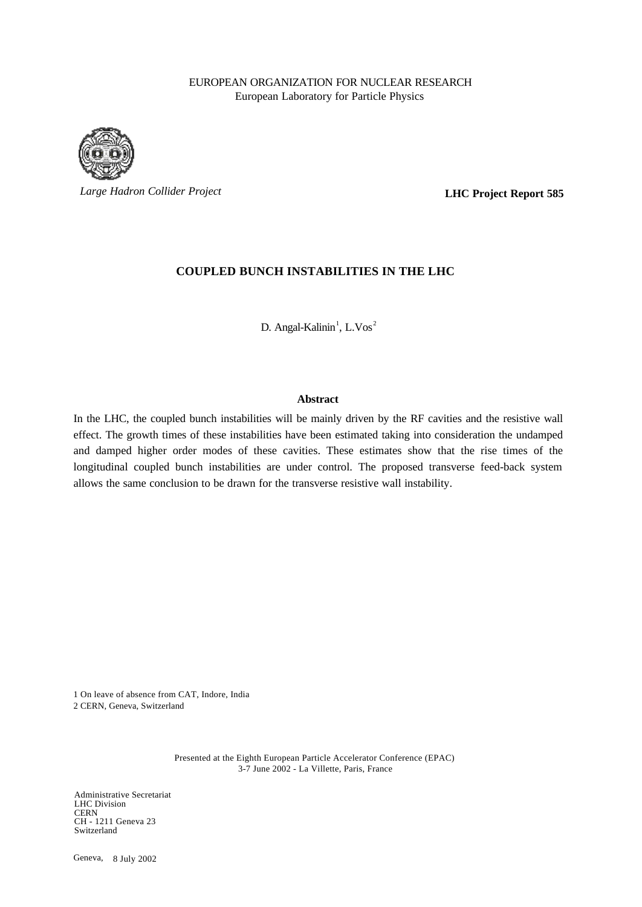## EUROPEAN ORGANIZATION FOR NUCLEAR RESEARCH European Laboratory for Particle Physics



*Large Hadron Collider Project*

**LHC Project Report 585**

## **COUPLED BUNCH INSTABILITIES IN THE LHC**

D. Angal-Kalinin<sup>1</sup>, L.Vos<sup>2</sup>

### **Abstract**

In the LHC, the coupled bunch instabilities will be mainly driven by the RF cavities and the resistive wall effect. The growth times of these instabilities have been estimated taking into consideration the undamped and damped higher order modes of these cavities. These estimates show that the rise times of the longitudinal coupled bunch instabilities are under control. The proposed transverse feed-back system allows the same conclusion to be drawn for the transverse resistive wall instability.

1 On leave of absence from CAT, Indore, India 2 CERN, Geneva, Switzerland

> Presented at the Eighth European Particle Accelerator Conference (EPAC) 3-7 June 2002 - La Villette, Paris, France

Administrative Secretariat LHC Division **CERN** CH - 1211 Geneva 23 Switzerland

Geneva, 8 July 2002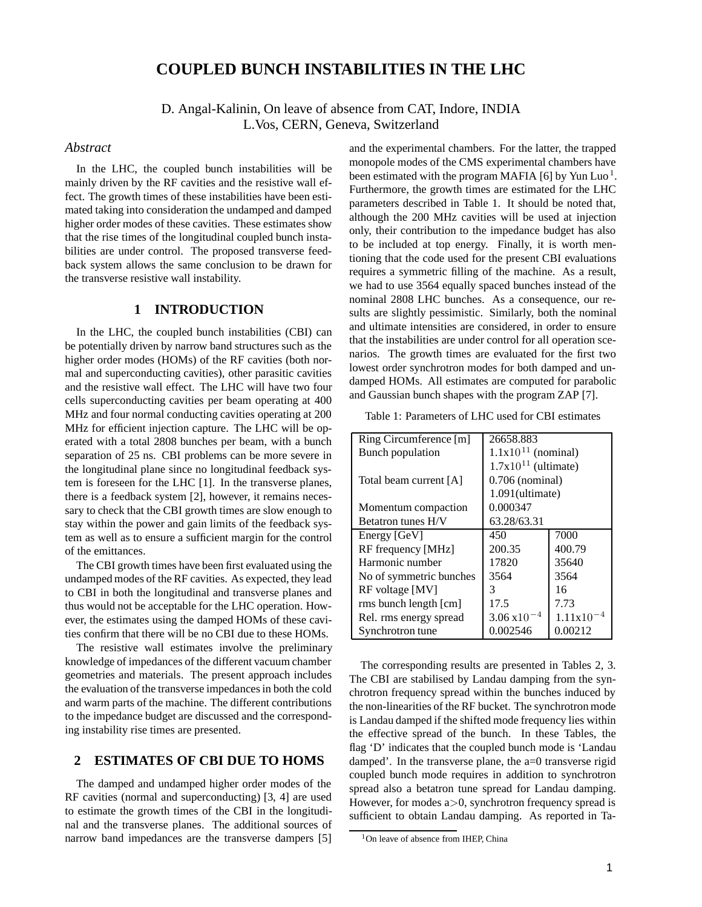# **COUPLED BUNCH INSTABILITIES IN THE LHC**

D. Angal-Kalinin, On leave of absence from CAT, Indore, INDIA L.Vos, CERN, Geneva, Switzerland

#### *Abstract*

In the LHC, the coupled bunch instabilities will be mainly driven by the RF cavities and the resistive wall effect. The growth times of these instabilities have been estimated taking into consideration the undamped and damped higher order modes of these cavities. These estimates show that the rise times of the longitudinal coupled bunch instabilities are under control. The proposed transverse feedback system allows the same conclusion to be drawn for the transverse resistive wall instability.

#### **1 INTRODUCTION**

In the LHC, the coupled bunch instabilities (CBI) can be potentially driven by narrow band structures such as the higher order modes (HOMs) of the RF cavities (both normal and superconducting cavities), other parasitic cavities and the resistive wall effect. The LHC will have two four cells superconducting cavities per beam operating at 400 MHz and four normal conducting cavities operating at 200 MHz for efficient injection capture. The LHC will be operated with a total 2808 bunches per beam, with a bunch separation of 25 ns. CBI problems can be more severe in the longitudinal plane since no longitudinal feedback system is foreseen for the LHC [1]. In the transverse planes, there is a feedback system [2], however, it remains necessary to check that the CBI growth times are slow enough to stay within the power and gain limits of the feedback system as well as to ensure a sufficient margin for the control of the emittances.

The CBI growth times have been first evaluated using the undamped modes of the RF cavities. As expected, they lead to CBI in both the longitudinal and transverse planes and thus would not be acceptable for the LHC operation. However, the estimates using the damped HOMs of these cavities confirm that there will be no CBI due to these HOMs.

The resistive wall estimates involve the preliminary knowledge of impedances of the different vacuum chamber geometries and materials. The present approach includes the evaluation of the transverse impedances in both the cold and warm parts of the machine. The different contributions to the impedance budget are discussed and the corresponding instability rise times are presented.

### **2 ESTIMATES OF CBI DUE TO HOMS**

The damped and undamped higher order modes of the RF cavities (normal and superconducting) [3, 4] are used to estimate the growth times of the CBI in the longitudinal and the transverse planes. The additional sources of narrow band impedances are the transverse dampers [5]

and the experimental chambers. For the latter, the trapped monopole modes of the CMS experimental chambers have been estimated with the program MAFIA [6] by Yun Luo<sup>1</sup>. Furthermore, the growth times are estimated for the LHC parameters described in Table 1. It should be noted that, although the 200 MHz cavities will be used at injection only, their contribution to the impedance budget has also to be included at top energy. Finally, it is worth mentioning that the code used for the present CBI evaluations requires a symmetric filling of the machine. As a result, we had to use 3564 equally spaced bunches instead of the nominal 2808 LHC bunches. As a consequence, our results are slightly pessimistic. Similarly, both the nominal and ultimate intensities are considered, in order to ensure that the instabilities are under control for all operation scenarios. The growth times are evaluated for the first two lowest order synchrotron modes for both damped and undamped HOMs. All estimates are computed for parabolic and Gaussian bunch shapes with the program ZAP [7].

Table 1: Parameters of LHC used for CBI estimates

| Ring Circumference [m]  | 26658.883                |         |  |
|-------------------------|--------------------------|---------|--|
| Bunch population        | $1.1x10^{11}$ (nominal)  |         |  |
|                         | $1.7x10^{11}$ (ultimate) |         |  |
| Total beam current [A]  | $0.706$ (nominal)        |         |  |
|                         | $1.091$ (ultimate)       |         |  |
| Momentum compaction     | 0.000347                 |         |  |
| Betatron tunes H/V      | 63.28/63.31              |         |  |
| Energy [GeV]            | 450                      | 7000    |  |
| RF frequency [MHz]      | 200.35                   | 400.79  |  |
| Harmonic number         | 17820                    | 35640   |  |
| No of symmetric bunches | 3564                     | 3564    |  |
| RF voltage [MV]         | 3                        | 16      |  |
| rms bunch length [cm]   | 17.5                     | 7.73    |  |
| Rel. rms energy spread  | $3.06 \times 10$         | 1.11x10 |  |
| Synchrotron tune        | 0.002546                 | 0.00212 |  |

The corresponding results are presented in Tables 2, 3. The CBI are stabilised by Landau damping from the synchrotron frequency spread within the bunches induced by the non-linearities of the RF bucket. The synchrotron mode is Landau damped if the shifted mode frequency lies within the effective spread of the bunch. In these Tables, the flag 'D' indicates that the coupled bunch mode is 'Landau damped'. In the transverse plane, the a=0 transverse rigid coupled bunch mode requires in addition to synchrotron spread also a betatron tune spread for Landau damping. However, for modes  $a > 0$ , synchrotron frequency spread is sufficient to obtain Landau damping. As reported in Ta-

 $1$ On leave of absence from IHEP, China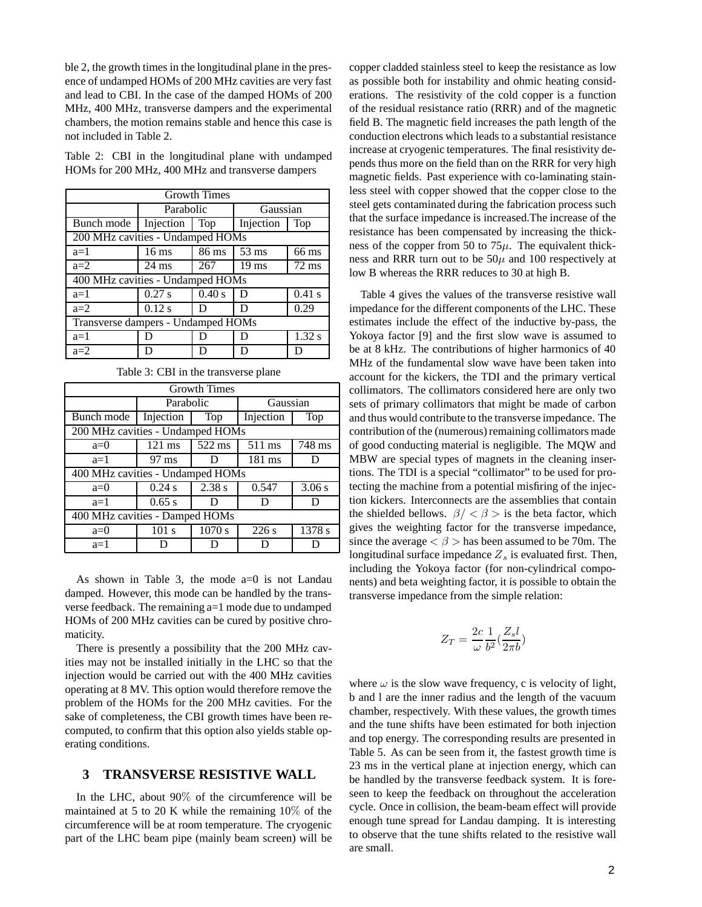ble 2, the growth times in the longitudinal plane in the presence of undamped HOMs of 200 MHz cavities are very fast and lead to CBI. In the case of the damped HOMs of 200 MHz, 400 MHz, transverse dampers and the experimental chambers, the motion remains stable and hence this case is not included in Table 2.

Table 2: CBI in the longitudinal plane with undamped HOMs for 200 MHz, 400 MHz and transverse dampers

| <b>Growth Times</b>                |                        |        |                 |                 |  |  |
|------------------------------------|------------------------|--------|-----------------|-----------------|--|--|
|                                    | Parabolic              |        | Gaussian        |                 |  |  |
| Bunch mode                         | Injection<br>Top       |        | Injection       | Top             |  |  |
| 200 MHz cavities - Undamped HOMs   |                        |        |                 |                 |  |  |
| $a=1$                              | $16 \text{ ms}$        | 86 ms  | $53 \text{ ms}$ | 66 ms           |  |  |
| $a=2$                              | 267<br>$24 \text{ ms}$ |        | $19 \text{ ms}$ | $72 \text{ ms}$ |  |  |
| 400 MHz cavities - Undamped HOMs   |                        |        |                 |                 |  |  |
| $a=1$                              | $0.27$ s               | 0.40 s | D               | $0.41$ s        |  |  |
| $a=2$                              | $0.12$ s               | D      | D               | 0.29            |  |  |
| Transverse dampers - Undamped HOMs |                        |        |                 |                 |  |  |
| $a=1$                              | I)                     |        | נ ו             | $1.32$ s        |  |  |
| $a=2$                              | D                      |        | D               | D               |  |  |

| Table 3: CBI in the transverse plane |  |  |  |  |  |
|--------------------------------------|--|--|--|--|--|
|--------------------------------------|--|--|--|--|--|

| <b>Growth Times</b>              |                                  |                            |                  |        |  |  |  |
|----------------------------------|----------------------------------|----------------------------|------------------|--------|--|--|--|
|                                  | Parabolic                        |                            | Gaussian         |        |  |  |  |
| Bunch mode                       | Injection<br>Top                 |                            | Injection        | Top    |  |  |  |
|                                  | 200 MHz cavities - Undamped HOMs |                            |                  |        |  |  |  |
| $a=0$                            | $121$ ms                         | 522 ms<br>$511 \text{ ms}$ |                  | 748 ms |  |  |  |
| $a=1$                            | $97 \text{ ms}$<br>D             |                            | $181 \text{ ms}$ | D      |  |  |  |
| 400 MHz cavities - Undamped HOMs |                                  |                            |                  |        |  |  |  |
| $a=0$                            | 0.24 s                           | 2.38 s                     | 0.547            | 3.06 s |  |  |  |
| $a=1$                            | 0.65 s                           | Ð                          |                  |        |  |  |  |
| 400 MHz cavities - Damped HOMs   |                                  |                            |                  |        |  |  |  |
| $a=0$                            | 101 s                            | 1070 s                     | 226s             | 1378 s |  |  |  |
| $a=1$                            |                                  | Ð                          | D                |        |  |  |  |

As shown in Table 3, the mode  $a=0$  is not Landau damped. However, this mode can be handled by the transverse feedback. The remaining a=1 mode due to undamped HOMs of 200 MHz cavities can be cured by positive chromaticity.

There is presently a possibility that the 200 MHz cavities may not be installed initially in the LHC so that the injection would be carried out with the 400 MHz cavities operating at 8 MV. This option would therefore remove the problem of the HOMs for the 200 MHz cavities. For the sake of completeness, the CBI growth times have been recomputed, to confirm that this option also yields stable operating conditions.

#### **3 TRANSVERSE RESISTIVE WALL**

In the LHC, about 90% of the circumference will be maintained at 5 to 20 K while the remaining 10% of the circumference will be at room temperature. The cryogenic part of the LHC beam pipe (mainly beam screen) will be copper cladded stainless steel to keep the resistance as low as possible both for instability and ohmic heating considerations. The resistivity of the cold copper is a function of the residual resistance ratio (RRR) and of the magnetic field B. The magnetic field increases the path length of the conduction electrons which leads to a substantial resistance increase at cryogenic temperatures. The final resistivity depends thus more on the field than on the RRR for very high magnetic fields. Past experience with co-laminating stainless steel with copper showed that the copper close to the steel gets contaminated during the fabrication process such that the surface impedance is increased.The increase of the resistance has been compensated by increasing the thickness of the copper from 50 to  $75\mu$ . The equivalent thickness and RRR turn out to be  $50\mu$  and 100 respectively at low B whereas the RRR reduces to 30 at high B.

Table 4 gives the values of the transverse resistive wall impedance for the different components of the LHC. These estimates include the effect of the inductive by-pass, the Yokoya factor [9] and the first slow wave is assumed to be at 8 kHz. The contributions of higher harmonics of 40 MHz of the fundamental slow wave have been taken into account for the kickers, the TDI and the primary vertical collimators. The collimators considered here are only two sets of primary collimators that might be made of carbon and thus would contribute to the transverse impedance. The contribution of the (numerous) remaining collimators made of good conducting material is negligible. The MQW and MBW are special types of magnets in the cleaning insertions. The TDI is a special "collimator" to be used for protecting the machine from a potential misfiring of the injection kickers. Interconnects are the assemblies that contain the shielded bellows.  $\beta$  / <  $\beta$  > is the beta factor, which gives the weighting factor for the transverse impedance, since the average  $\langle \beta \rangle$  has been assumed to be 70m. The longitudinal surface impedance  $Z_s$  is evaluated first. Then, including the Yokoya factor (for non-cylindrical components) and beta weighting factor, it is possible to obtain the transverse impedance from the simple relation:

$$
Z_T = \frac{2c}{\omega} \frac{1}{b^2} (\frac{Z_s l}{2\pi b})
$$

where  $\omega$  is the slow wave frequency, c is velocity of light, b and l are the inner radius and the length of the vacuum chamber, respectively. With these values, the growth times and the tune shifts have been estimated for both injection and top energy. The corresponding results are presented in Table 5. As can be seen from it, the fastest growth time is 23 ms in the vertical plane at injection energy, which can be handled by the transverse feedback system. It is foreseen to keep the feedback on throughout the acceleration cycle. Once in collision, the beam-beam effect will provide enough tune spread for Landau damping. It is interesting to observe that the tune shifts related to the resistive wall are small.